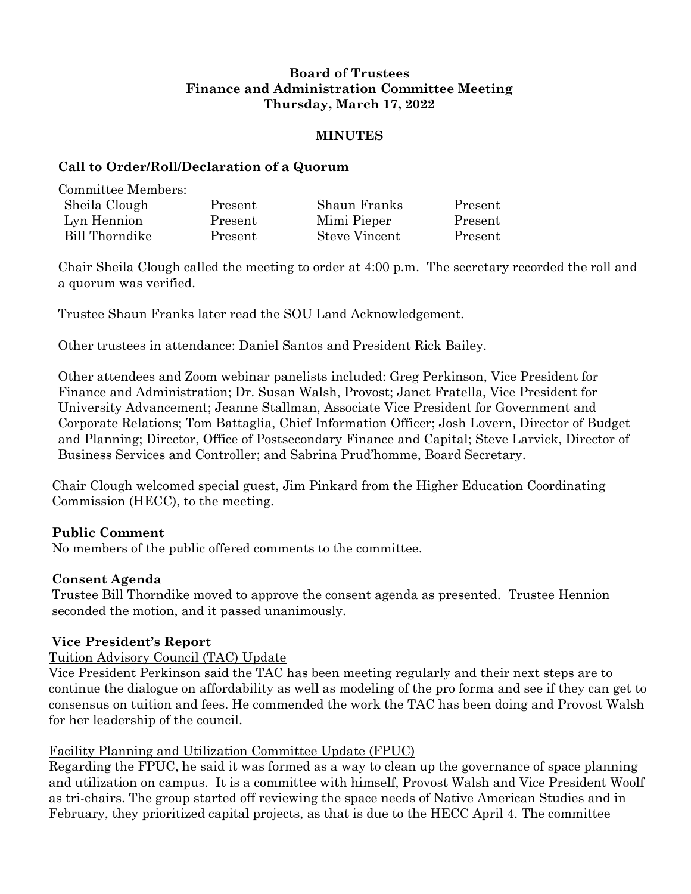# **Board of Trustees Finance and Administration Committee Meeting Thursday, March 17, 2022**

## **MINUTES**

## **Call to Order/Roll/Declaration of a Quorum**

| Committee Members:    |         |               |         |
|-----------------------|---------|---------------|---------|
| Sheila Clough         | Present | Shaun Franks  | Present |
| Lyn Hennion           | Present | Mimi Pieper   | Present |
| <b>Bill Thorndike</b> | Present | Steve Vincent | Present |

Chair Sheila Clough called the meeting to order at 4:00 p.m. The secretary recorded the roll and a quorum was verified.

Trustee Shaun Franks later read the SOU Land Acknowledgement.

Other trustees in attendance: Daniel Santos and President Rick Bailey.

Other attendees and Zoom webinar panelists included: Greg Perkinson, Vice President for Finance and Administration; Dr. Susan Walsh, Provost; Janet Fratella, Vice President for University Advancement; Jeanne Stallman, Associate Vice President for Government and Corporate Relations; Tom Battaglia, Chief Information Officer; Josh Lovern, Director of Budget and Planning; Director, Office of Postsecondary Finance and Capital; Steve Larvick, Director of Business Services and Controller; and Sabrina Prud'homme, Board Secretary.

Chair Clough welcomed special guest, Jim Pinkard from the Higher Education Coordinating Commission (HECC), to the meeting.

# **Public Comment**

No members of the public offered comments to the committee.

# **Consent Agenda**

Trustee Bill Thorndike moved to approve the consent agenda as presented. Trustee Hennion seconded the motion, and it passed unanimously.

# **Vice President's Report**

# Tuition Advisory Council (TAC) Update

Vice President Perkinson said the TAC has been meeting regularly and their next steps are to continue the dialogue on affordability as well as modeling of the pro forma and see if they can get to consensus on tuition and fees. He commended the work the TAC has been doing and Provost Walsh for her leadership of the council.

# Facility Planning and Utilization Committee Update (FPUC)

Regarding the FPUC, he said it was formed as a way to clean up the governance of space planning and utilization on campus. It is a committee with himself, Provost Walsh and Vice President Woolf as tri-chairs. The group started off reviewing the space needs of Native American Studies and in February, they prioritized capital projects, as that is due to the HECC April 4. The committee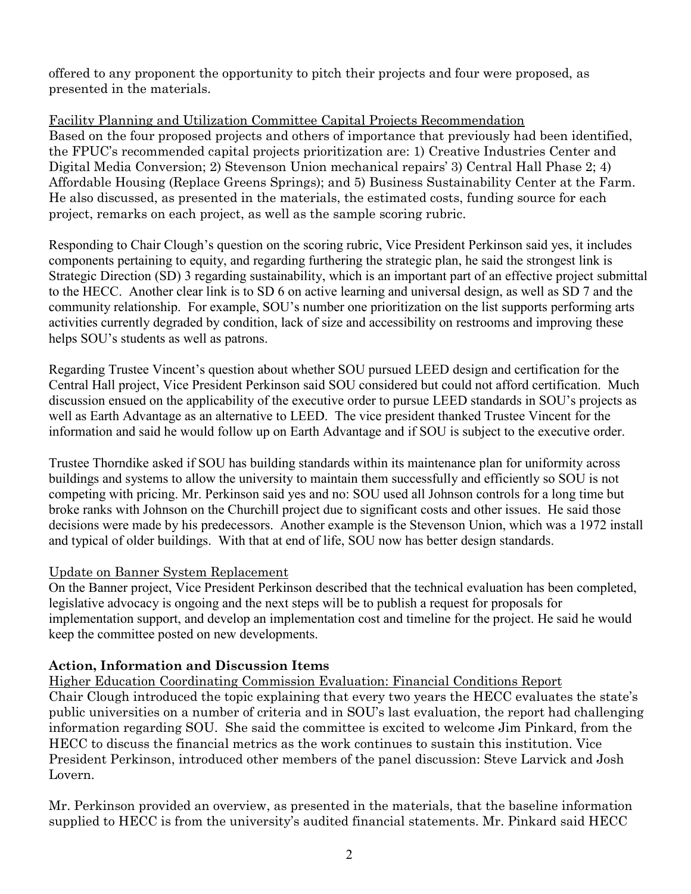offered to any proponent the opportunity to pitch their projects and four were proposed, as presented in the materials.

# Facility Planning and Utilization Committee Capital Projects Recommendation

Based on the four proposed projects and others of importance that previously had been identified, the FPUC's recommended capital projects prioritization are: 1) Creative Industries Center and Digital Media Conversion; 2) Stevenson Union mechanical repairs' 3) Central Hall Phase 2; 4) Affordable Housing (Replace Greens Springs); and 5) Business Sustainability Center at the Farm. He also discussed, as presented in the materials, the estimated costs, funding source for each project, remarks on each project, as well as the sample scoring rubric.

Responding to Chair Clough's question on the scoring rubric, Vice President Perkinson said yes, it includes components pertaining to equity, and regarding furthering the strategic plan, he said the strongest link is Strategic Direction (SD) 3 regarding sustainability, which is an important part of an effective project submittal to the HECC. Another clear link is to SD 6 on active learning and universal design, as well as SD 7 and the community relationship. For example, SOU's number one prioritization on the list supports performing arts activities currently degraded by condition, lack of size and accessibility on restrooms and improving these helps SOU's students as well as patrons.

Regarding Trustee Vincent's question about whether SOU pursued LEED design and certification for the Central Hall project, Vice President Perkinson said SOU considered but could not afford certification. Much discussion ensued on the applicability of the executive order to pursue LEED standards in SOU's projects as well as Earth Advantage as an alternative to LEED. The vice president thanked Trustee Vincent for the information and said he would follow up on Earth Advantage and if SOU is subject to the executive order.

Trustee Thorndike asked if SOU has building standards within its maintenance plan for uniformity across buildings and systems to allow the university to maintain them successfully and efficiently so SOU is not competing with pricing. Mr. Perkinson said yes and no: SOU used all Johnson controls for a long time but broke ranks with Johnson on the Churchill project due to significant costs and other issues. He said those decisions were made by his predecessors. Another example is the Stevenson Union, which was a 1972 install and typical of older buildings. With that at end of life, SOU now has better design standards.

# Update on Banner System Replacement

On the Banner project, Vice President Perkinson described that the technical evaluation has been completed, legislative advocacy is ongoing and the next steps will be to publish a request for proposals for implementation support, and develop an implementation cost and timeline for the project. He said he would keep the committee posted on new developments.

# **Action, Information and Discussion Items**

Higher Education Coordinating Commission Evaluation: Financial Conditions Report Chair Clough introduced the topic explaining that every two years the HECC evaluates the state's public universities on a number of criteria and in SOU's last evaluation, the report had challenging information regarding SOU. She said the committee is excited to welcome Jim Pinkard, from the HECC to discuss the financial metrics as the work continues to sustain this institution. Vice President Perkinson, introduced other members of the panel discussion: Steve Larvick and Josh Lovern.

Mr. Perkinson provided an overview, as presented in the materials, that the baseline information supplied to HECC is from the university's audited financial statements. Mr. Pinkard said HECC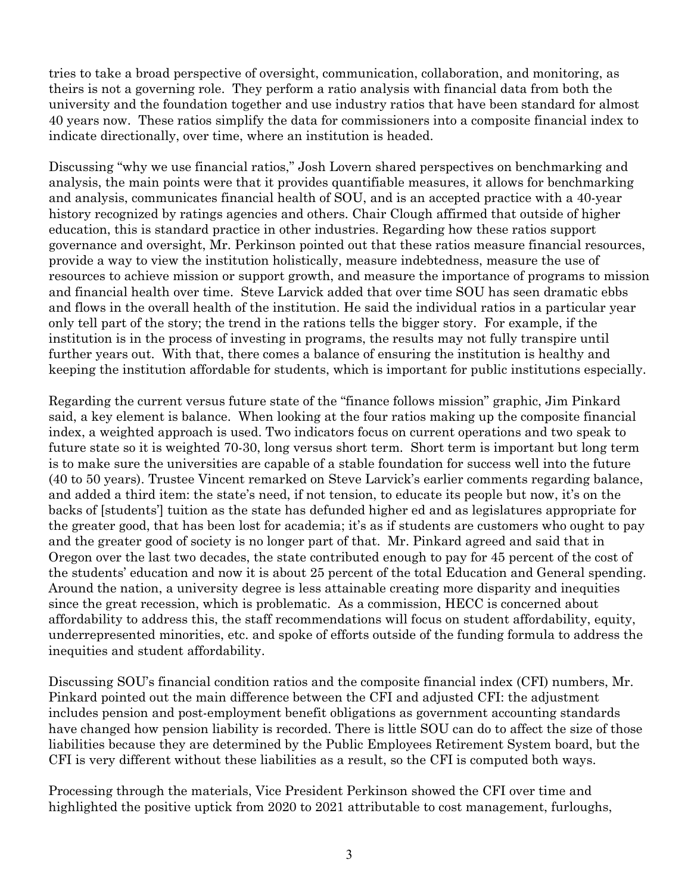tries to take a broad perspective of oversight, communication, collaboration, and monitoring, as theirs is not a governing role. They perform a ratio analysis with financial data from both the university and the foundation together and use industry ratios that have been standard for almost 40 years now. These ratios simplify the data for commissioners into a composite financial index to indicate directionally, over time, where an institution is headed.

Discussing "why we use financial ratios," Josh Lovern shared perspectives on benchmarking and analysis, the main points were that it provides quantifiable measures, it allows for benchmarking and analysis, communicates financial health of SOU, and is an accepted practice with a 40-year history recognized by ratings agencies and others. Chair Clough affirmed that outside of higher education, this is standard practice in other industries. Regarding how these ratios support governance and oversight, Mr. Perkinson pointed out that these ratios measure financial resources, provide a way to view the institution holistically, measure indebtedness, measure the use of resources to achieve mission or support growth, and measure the importance of programs to mission and financial health over time. Steve Larvick added that over time SOU has seen dramatic ebbs and flows in the overall health of the institution. He said the individual ratios in a particular year only tell part of the story; the trend in the rations tells the bigger story. For example, if the institution is in the process of investing in programs, the results may not fully transpire until further years out. With that, there comes a balance of ensuring the institution is healthy and keeping the institution affordable for students, which is important for public institutions especially.

Regarding the current versus future state of the "finance follows mission" graphic, Jim Pinkard said, a key element is balance. When looking at the four ratios making up the composite financial index, a weighted approach is used. Two indicators focus on current operations and two speak to future state so it is weighted 70-30, long versus short term. Short term is important but long term is to make sure the universities are capable of a stable foundation for success well into the future (40 to 50 years). Trustee Vincent remarked on Steve Larvick's earlier comments regarding balance, and added a third item: the state's need, if not tension, to educate its people but now, it's on the backs of [students'] tuition as the state has defunded higher ed and as legislatures appropriate for the greater good, that has been lost for academia; it's as if students are customers who ought to pay and the greater good of society is no longer part of that. Mr. Pinkard agreed and said that in Oregon over the last two decades, the state contributed enough to pay for 45 percent of the cost of the students' education and now it is about 25 percent of the total Education and General spending. Around the nation, a university degree is less attainable creating more disparity and inequities since the great recession, which is problematic. As a commission, HECC is concerned about affordability to address this, the staff recommendations will focus on student affordability, equity, underrepresented minorities, etc. and spoke of efforts outside of the funding formula to address the inequities and student affordability.

Discussing SOU's financial condition ratios and the composite financial index (CFI) numbers, Mr. Pinkard pointed out the main difference between the CFI and adjusted CFI: the adjustment includes pension and post-employment benefit obligations as government accounting standards have changed how pension liability is recorded. There is little SOU can do to affect the size of those liabilities because they are determined by the Public Employees Retirement System board, but the CFI is very different without these liabilities as a result, so the CFI is computed both ways.

Processing through the materials, Vice President Perkinson showed the CFI over time and highlighted the positive uptick from 2020 to 2021 attributable to cost management, furloughs,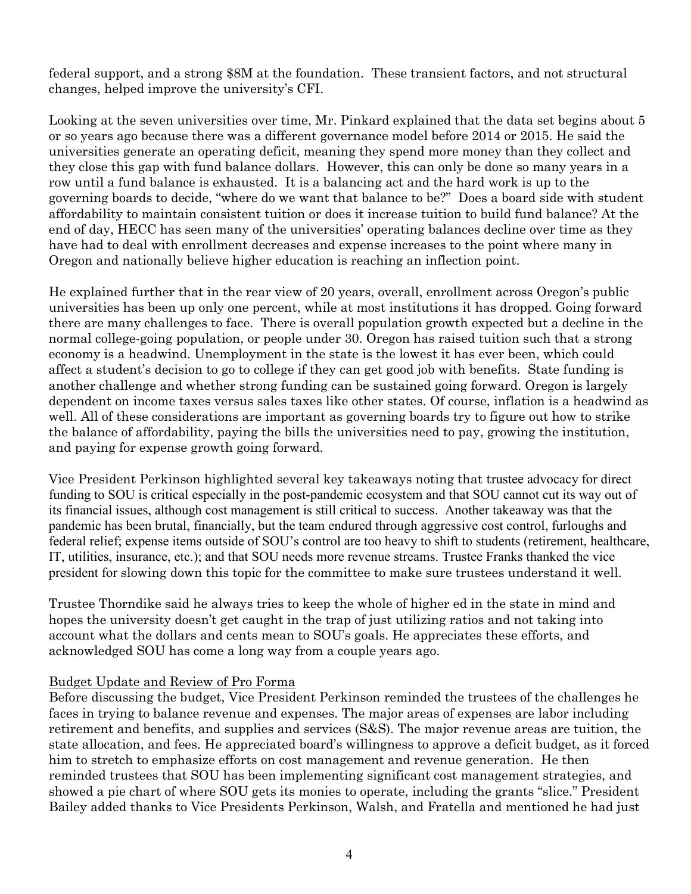federal support, and a strong \$8M at the foundation. These transient factors, and not structural changes, helped improve the university's CFI.

Looking at the seven universities over time, Mr. Pinkard explained that the data set begins about 5 or so years ago because there was a different governance model before 2014 or 2015. He said the universities generate an operating deficit, meaning they spend more money than they collect and they close this gap with fund balance dollars. However, this can only be done so many years in a row until a fund balance is exhausted. It is a balancing act and the hard work is up to the governing boards to decide, "where do we want that balance to be?" Does a board side with student affordability to maintain consistent tuition or does it increase tuition to build fund balance? At the end of day, HECC has seen many of the universities' operating balances decline over time as they have had to deal with enrollment decreases and expense increases to the point where many in Oregon and nationally believe higher education is reaching an inflection point.

He explained further that in the rear view of 20 years, overall, enrollment across Oregon's public universities has been up only one percent, while at most institutions it has dropped. Going forward there are many challenges to face. There is overall population growth expected but a decline in the normal college-going population, or people under 30. Oregon has raised tuition such that a strong economy is a headwind. Unemployment in the state is the lowest it has ever been, which could affect a student's decision to go to college if they can get good job with benefits. State funding is another challenge and whether strong funding can be sustained going forward. Oregon is largely dependent on income taxes versus sales taxes like other states. Of course, inflation is a headwind as well. All of these considerations are important as governing boards try to figure out how to strike the balance of affordability, paying the bills the universities need to pay, growing the institution, and paying for expense growth going forward.

Vice President Perkinson highlighted several key takeaways noting that trustee advocacy for direct funding to SOU is critical especially in the post-pandemic ecosystem and that SOU cannot cut its way out of its financial issues, although cost management is still critical to success. Another takeaway was that the pandemic has been brutal, financially, but the team endured through aggressive cost control, furloughs and federal relief; expense items outside of SOU's control are too heavy to shift to students (retirement, healthcare, IT, utilities, insurance, etc.); and that SOU needs more revenue streams. Trustee Franks thanked the vice president for slowing down this topic for the committee to make sure trustees understand it well.

Trustee Thorndike said he always tries to keep the whole of higher ed in the state in mind and hopes the university doesn't get caught in the trap of just utilizing ratios and not taking into account what the dollars and cents mean to SOU's goals. He appreciates these efforts, and acknowledged SOU has come a long way from a couple years ago.

### Budget Update and Review of Pro Forma

Before discussing the budget, Vice President Perkinson reminded the trustees of the challenges he faces in trying to balance revenue and expenses. The major areas of expenses are labor including retirement and benefits, and supplies and services (S&S). The major revenue areas are tuition, the state allocation, and fees. He appreciated board's willingness to approve a deficit budget, as it forced him to stretch to emphasize efforts on cost management and revenue generation. He then reminded trustees that SOU has been implementing significant cost management strategies, and showed a pie chart of where SOU gets its monies to operate, including the grants "slice." President Bailey added thanks to Vice Presidents Perkinson, Walsh, and Fratella and mentioned he had just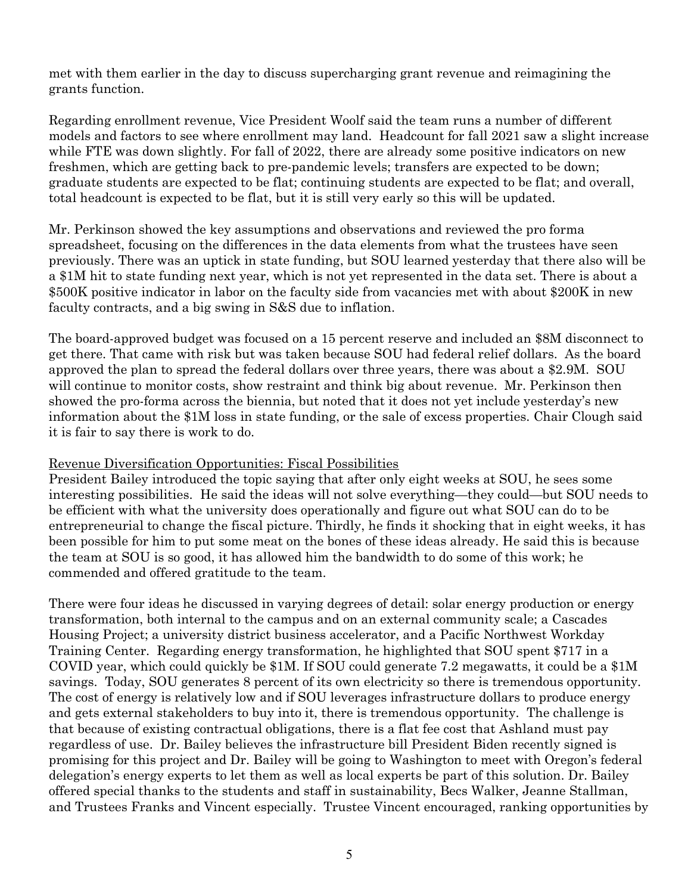met with them earlier in the day to discuss supercharging grant revenue and reimagining the grants function.

Regarding enrollment revenue, Vice President Woolf said the team runs a number of different models and factors to see where enrollment may land. Headcount for fall 2021 saw a slight increase while FTE was down slightly. For fall of 2022, there are already some positive indicators on new freshmen, which are getting back to pre-pandemic levels; transfers are expected to be down; graduate students are expected to be flat; continuing students are expected to be flat; and overall, total headcount is expected to be flat, but it is still very early so this will be updated.

Mr. Perkinson showed the key assumptions and observations and reviewed the pro forma spreadsheet, focusing on the differences in the data elements from what the trustees have seen previously. There was an uptick in state funding, but SOU learned yesterday that there also will be a \$1M hit to state funding next year, which is not yet represented in the data set. There is about a \$500K positive indicator in labor on the faculty side from vacancies met with about \$200K in new faculty contracts, and a big swing in S&S due to inflation.

The board-approved budget was focused on a 15 percent reserve and included an \$8M disconnect to get there. That came with risk but was taken because SOU had federal relief dollars. As the board approved the plan to spread the federal dollars over three years, there was about a \$2.9M. SOU will continue to monitor costs, show restraint and think big about revenue. Mr. Perkinson then showed the pro-forma across the biennia, but noted that it does not yet include yesterday's new information about the \$1M loss in state funding, or the sale of excess properties. Chair Clough said it is fair to say there is work to do.

### Revenue Diversification Opportunities: Fiscal Possibilities

President Bailey introduced the topic saying that after only eight weeks at SOU, he sees some interesting possibilities. He said the ideas will not solve everything—they could—but SOU needs to be efficient with what the university does operationally and figure out what SOU can do to be entrepreneurial to change the fiscal picture. Thirdly, he finds it shocking that in eight weeks, it has been possible for him to put some meat on the bones of these ideas already. He said this is because the team at SOU is so good, it has allowed him the bandwidth to do some of this work; he commended and offered gratitude to the team.

There were four ideas he discussed in varying degrees of detail: solar energy production or energy transformation, both internal to the campus and on an external community scale; a Cascades Housing Project; a university district business accelerator, and a Pacific Northwest Workday Training Center. Regarding energy transformation, he highlighted that SOU spent \$717 in a COVID year, which could quickly be \$1M. If SOU could generate 7.2 megawatts, it could be a \$1M savings. Today, SOU generates 8 percent of its own electricity so there is tremendous opportunity. The cost of energy is relatively low and if SOU leverages infrastructure dollars to produce energy and gets external stakeholders to buy into it, there is tremendous opportunity. The challenge is that because of existing contractual obligations, there is a flat fee cost that Ashland must pay regardless of use. Dr. Bailey believes the infrastructure bill President Biden recently signed is promising for this project and Dr. Bailey will be going to Washington to meet with Oregon's federal delegation's energy experts to let them as well as local experts be part of this solution. Dr. Bailey offered special thanks to the students and staff in sustainability, Becs Walker, Jeanne Stallman, and Trustees Franks and Vincent especially. Trustee Vincent encouraged, ranking opportunities by